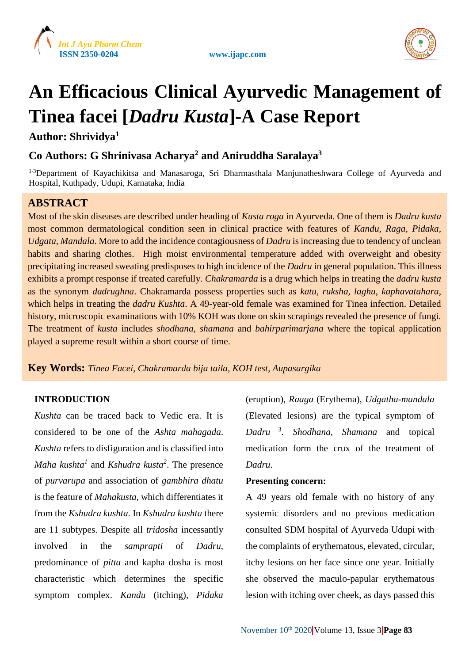





# **An Efficacious Clinical Ayurvedic Management of Tinea facei [***Dadru Kusta***]-A Case Report**

**Author: Shrividya<sup>1</sup>**

# **Co Authors: G Shrinivasa Acharya<sup>2</sup> and Aniruddha Saralaya<sup>3</sup>**

<sup>1-3</sup>Department of Kayachikitsa and Manasaroga, Sri Dharmasthala Manjunatheshwara College of Ayurveda and Hospital, Kuthpady, Udupi, Karnataka, India

# **ABSTRACT**

Most of the skin diseases are described under heading of *Kusta roga* in Ayurveda. One of them is *Dadru kusta* most common dermatological condition seen in clinical practice with features of *Kandu, Raga, Pidaka, Udgata, Mandala*. More to add the incidence contagiousness of *Dadru* is increasing due to tendency of unclean habits and sharing clothes. High moist environmental temperature added with overweight and obesity precipitating increased sweating predisposes to high incidence of the *Dadru* in general population. This illness exhibits a prompt response if treated carefully. *Chakramarda* is a drug which helps in treating the *dadru kusta* as the synonym *dadrughna*. Chakramarda possess properties such as *katu, ruksha, laghu, kaphavatahara*, which helps in treating the *dadru Kushta*. A 49-year-old female was examined for Tinea infection. Detailed history, microscopic examinations with 10% KOH was done on skin scrapings revealed the presence of fungi. The treatment of *kusta* includes *shodhana, shamana* and *bahirparimarjana* where the topical application played a supreme result within a short course of time.

**Key Words:** *Tinea Facei, Chakramarda bija taila, KOH test, Aupasargika*

# **INTRODUCTION**

*Kushta* can be traced back to Vedic era. It is considered to be one of the *Ashta mahagada*. *Kushta* refers to disfiguration and is classified into *Maha kushta<sup>1</sup>* and *Kshudra kusta<sup>2</sup>* . The presence of *purvarupa* and association of *gambhira dhatu* is the feature of *Mahakusta,* which differentiates it from the *Kshudra kushta*. In *Kshudra kushta* there are 11 subtypes. Despite all *tridosha* incessantly involved in the *samprapti* of *Dadru*, predominance of *pitta* and kapha dosha is most characteristic which determines the specific symptom complex. *Kandu* (itching), *Pidaka*

(eruption), *Raaga* (Erythema), *Udgatha*-*mandala* (Elevated lesions) are the typical symptom of *Dadru* <sup>3</sup> . *Shodhana, Shamana* and topical medication form the crux of the treatment of *Dadru*.

# **Presenting concern:**

A 49 years old female with no history of any systemic disorders and no previous medication consulted SDM hospital of Ayurveda Udupi with the complaints of erythematous, elevated, circular, itchy lesions on her face since one year. Initially she observed the maculo-papular erythematous lesion with itching over cheek, as days passed this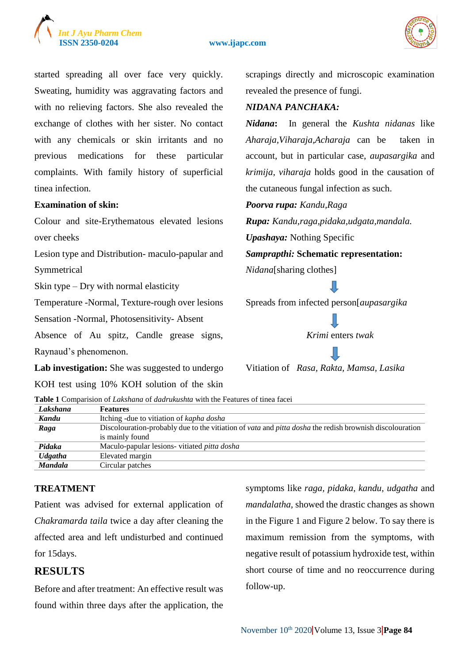

#### **ISSN 2350-0204 www.ijapc.com**



started spreading all over face very quickly. Sweating, humidity was aggravating factors and with no relieving factors. She also revealed the exchange of clothes with her sister. No contact with any chemicals or skin irritants and no previous medications for these particular complaints. With family history of superficial tinea infection.

### **Examination of skin:**

Colour and site-Erythematous elevated lesions over cheeks

Lesion type and Distribution- maculo-papular and Symmetrical

Skin type – Dry with normal elasticity

Temperature -Normal, Texture-rough over lesions

Sensation -Normal, Photosensitivity- Absent

Absence of Au spitz, Candle grease signs, Raynaud's phenomenon.

Lab investigation: She was suggested to undergo

KOH test using 10% KOH solution of the skin

scrapings directly and microscopic examination revealed the presence of fungi.

### *NIDANA PANCHAKA:*

*Nidana***:** In general the *Kushta nidanas* like *Aharaja,Viharaja,Acharaja* can be taken in account, but in particular case, *aupasargika* and *krimija, viharaja* holds good in the causation of the cutaneous fungal infection as such.

*Poorva rupa: Kandu,Raga*

*Rupa: Kandu,raga,pidaka,udgata,mandala. Upashaya:* Nothing Specific

*Samprapthi:* **Schematic representation:**

*Nidana*[sharing clothes]

Spreads from infected person[*aupasargika*

*Krimi* enters *twak*

Vitiation of *Rasa, Rakta, Mamsa, Lasika*

**Table 1** Comparision of *Lakshana* of *dadrukushta* with the Features of tinea facei

| Lakshana       | <b>Features</b>                                                                                         |
|----------------|---------------------------------------------------------------------------------------------------------|
| Kandu          | Itching - due to vitiation of kapha dosha                                                               |
| Raga           | Discolouration-probably due to the vitiation of vata and pitta dosha the redish brownish discolouration |
|                | is mainly found                                                                                         |
| Pidaka         | Maculo-papular lesions- vitiated pitta dosha                                                            |
| <b>Udgatha</b> | Elevated margin                                                                                         |
| <b>Mandala</b> | Circular patches                                                                                        |

# **TREATMENT**

Patient was advised for external application of *Chakramarda taila* twice a day after cleaning the affected area and left undisturbed and continued for 15days.

# **RESULTS**

Before and after treatment: An effective result was found within three days after the application, the symptoms like *raga, pidaka, kandu, udgatha* and *mandalatha,* showed the drastic changes as shown in the Figure 1 and Figure 2 below. To say there is maximum remission from the symptoms, with negative result of potassium hydroxide test, within short course of time and no reoccurrence during follow-up.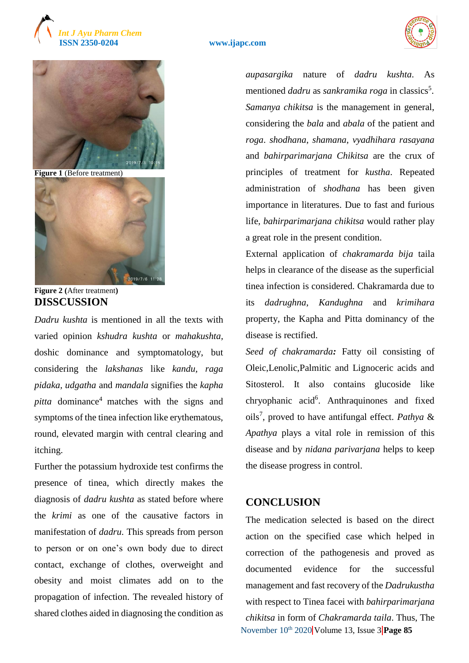



**Figure 1** (Before treatment)



**Figure 2 (**After treatment**) DISSCUSSION**

*Dadru kushta* is mentioned in all the texts with varied opinion *kshudra kushta* or *mahakushta,* doshic dominance and symptomatology, but considering the *lakshanas* like *kandu, raga pidaka, udgatha* and *mandala* signifies the *kapha pitta* dominance<sup>4</sup> matches with the signs and symptoms of the tinea infection like erythematous, round, elevated margin with central clearing and itching.

Further the potassium hydroxide test confirms the presence of tinea, which directly makes the diagnosis of *dadru kushta* as stated before where the *krimi* as one of the causative factors in manifestation of *dadru*. This spreads from person to person or on one's own body due to direct contact, exchange of clothes, overweight and obesity and moist climates add on to the propagation of infection. The revealed history of shared clothes aided in diagnosing the condition as *aupasargika* nature of *dadru kushta*. As mentioned *dadru* as *sankramika roga* in classics<sup>5</sup>. *Samanya chikitsa* is the management in general, considering the *bala* and *abala* of the patient and *roga*. *shodhana*, *shamana*, *vyadhihara rasayana* and *bahirparimarjana Chikitsa* are the crux of principles of treatment for *kustha*. Repeated administration of *shodhana* has been given importance in literatures. Due to fast and furious life, *bahirparimarjana chikitsa* would rather play a great role in the present condition.

External application of *chakramarda bija* taila helps in clearance of the disease as the superficial tinea infection is considered. Chakramarda due to its *dadrughna*, *Kandughna* and *krimihara* property, the Kapha and Pitta dominancy of the disease is rectified.

*Seed of chakramarda:* Fatty oil consisting of Oleic,Lenolic,Palmitic and Lignoceric acids and Sitosterol. It also contains glucoside like chryophanic acid<sup>6</sup>. Anthraquinones and fixed oils<sup>7</sup> , proved to have antifungal effect. *Pathya* & *Apathya* plays a vital role in remission of this disease and by *nidana parivarjana* helps to keep the disease progress in control.

# **CONCLUSION**

November 10<sup>th</sup> 2020 Volume 13, Issue 3 **Page 85** The medication selected is based on the direct action on the specified case which helped in correction of the pathogenesis and proved as documented evidence for the successful management and fast recovery of the *Dadrukustha* with respect to Tinea facei with *bahirparimarjana chikitsa* in form of *Chakramarda taila*. Thus, The

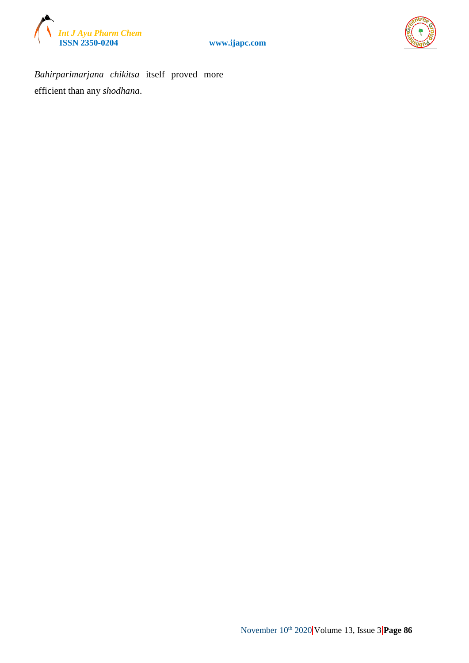





*Bahirparimarjana chikitsa* itself proved more efficient than any *shodhana*.